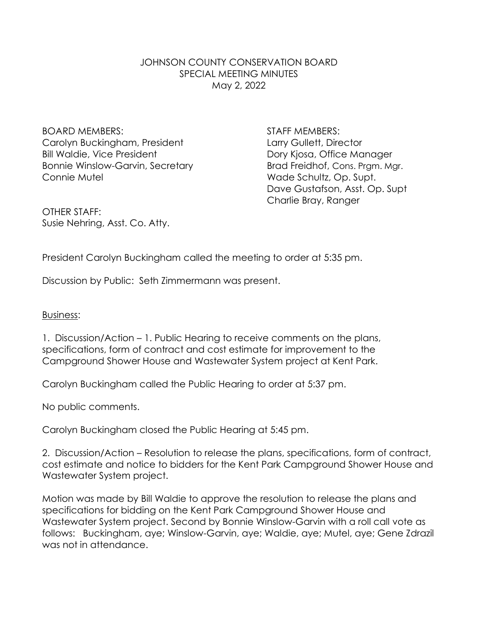## JOHNSON COUNTY CONSERVATION BOARD SPECIAL MEETING MINUTES May 2, 2022

BOARD MEMBERS: STAFF MEMBERS: Carolyn Buckingham, President Larry Gullett, Director Bill Waldie, Vice President **Dory Kiosa**, Office Manager Bonnie Winslow-Garvin, Secretary **Brad Freidhof, Cons. Prgm. Mgr.** Connie Mutel **Connie Mutel** Connie Mutel **Wade Schultz**, Op. Supt.

Dave Gustafson, Asst. Op. Supt Charlie Bray, Ranger

OTHER STAFF: Susie Nehring, Asst. Co. Atty.

President Carolyn Buckingham called the meeting to order at 5:35 pm.

Discussion by Public: Seth Zimmermann was present.

## Business:

1. Discussion/Action – 1. Public Hearing to receive comments on the plans, specifications, form of contract and cost estimate for improvement to the Campground Shower House and Wastewater System project at Kent Park.

Carolyn Buckingham called the Public Hearing to order at 5:37 pm.

No public comments.

Carolyn Buckingham closed the Public Hearing at 5:45 pm.

2. Discussion/Action – Resolution to release the plans, specifications, form of contract, cost estimate and notice to bidders for the Kent Park Campground Shower House and Wastewater System project.

Motion was made by Bill Waldie to approve the resolution to release the plans and specifications for bidding on the Kent Park Campground Shower House and Wastewater System project. Second by Bonnie Winslow-Garvin with a roll call vote as follows: Buckingham, aye; Winslow-Garvin, aye; Waldie, aye; Mutel, aye; Gene Zdrazil was not in attendance.